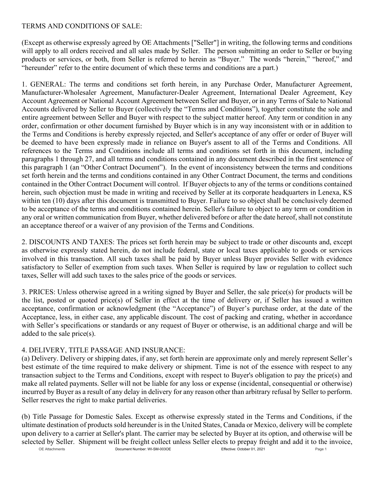## TERMS AND CONDITIONS OF SALE:

(Except as otherwise expressly agreed by OE Attachments ["Seller"] in writing, the following terms and conditions will apply to all orders received and all sales made by Seller. The person submitting an order to Seller or buying products or services, or both, from Seller is referred to herein as "Buyer." The words "herein," "hereof," and "hereunder" refer to the entire document of which these terms and conditions are a part.)

1. GENERAL: The terms and conditions set forth herein, in any Purchase Order, Manufacturer Agreement, Manufacturer-Wholesaler Agreement, Manufacturer-Dealer Agreement, International Dealer Agreement, Key Account Agreement or National Account Agreement between Seller and Buyer, or in any Terms of Sale to National Accounts delivered by Seller to Buyer (collectively the "Terms and Conditions"), together constitute the sole and entire agreement between Seller and Buyer with respect to the subject matter hereof. Any term or condition in any order, confirmation or other document furnished by Buyer which is in any way inconsistent with or in addition to the Terms and Conditions is hereby expressly rejected, and Seller's acceptance of any offer or order of Buyer will be deemed to have been expressly made in reliance on Buyer's assent to all of the Terms and Conditions. All references to the Terms and Conditions include all terms and conditions set forth in this document, including paragraphs 1 through 27, and all terms and conditions contained in any document described in the first sentence of this paragraph 1 (an "Other Contract Document"). In the event of inconsistency between the terms and conditions set forth herein and the terms and conditions contained in any Other Contract Document, the terms and conditions contained in the Other Contract Document will control. If Buyer objects to any of the terms or conditions contained herein, such objection must be made in writing and received by Seller at its corporate headquarters in Lenexa, KS within ten (10) days after this document is transmitted to Buyer. Failure to so object shall be conclusively deemed to be acceptance of the terms and conditions contained herein. Seller's failure to object to any term or condition in any oral or written communication from Buyer, whether delivered before or after the date hereof, shall not constitute an acceptance thereof or a waiver of any provision of the Terms and Conditions.

2. DISCOUNTS AND TAXES: The prices set forth herein may be subject to trade or other discounts and, except as otherwise expressly stated herein, do not include federal, state or local taxes applicable to goods or services involved in this transaction. All such taxes shall be paid by Buyer unless Buyer provides Seller with evidence satisfactory to Seller of exemption from such taxes. When Seller is required by law or regulation to collect such taxes, Seller will add such taxes to the sales price of the goods or services.

3. PRICES: Unless otherwise agreed in a writing signed by Buyer and Seller, the sale price(s) for products will be the list, posted or quoted price(s) of Seller in effect at the time of delivery or, if Seller has issued a written acceptance, confirmation or acknowledgment (the "Acceptance") of Buyer's purchase order, at the date of the Acceptance, less, in either case, any applicable discount. The cost of packing and crating, whether in accordance with Seller's specifications or standards or any request of Buyer or otherwise, is an additional charge and will be added to the sale price(s).

## 4. DELIVERY, TITLE PASSAGE AND INSURANCE:

(a) Delivery. Delivery or shipping dates, if any, set forth herein are approximate only and merely represent Seller's best estimate of the time required to make delivery or shipment. Time is not of the essence with respect to any transaction subject to the Terms and Conditions, except with respect to Buyer's obligation to pay the price(s) and make all related payments. Seller will not be liable for any loss or expense (incidental, consequential or otherwise) incurred by Buyer as a result of any delay in delivery for any reason other than arbitrary refusal by Seller to perform. Seller reserves the right to make partial deliveries.

(b) Title Passage for Domestic Sales. Except as otherwise expressly stated in the Terms and Conditions, if the ultimate destination of products sold hereunder is in the United States, Canada or Mexico, delivery will be complete upon delivery to a carrier at Seller's plant. The carrier may be selected by Buyer at its option, and otherwise will be selected by Seller. Shipment will be freight collect unless Seller elects to prepay freight and add it to the invoice,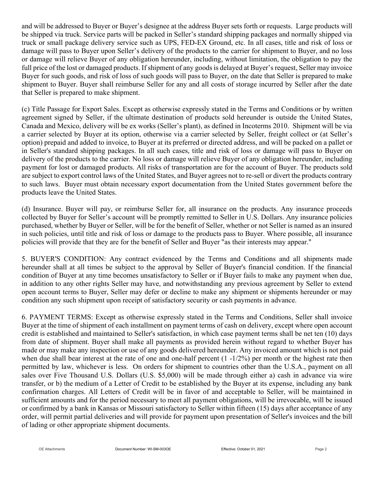and will be addressed to Buyer or Buyer's designee at the address Buyer sets forth or requests. Large products will be shipped via truck. Service parts will be packed in Seller's standard shipping packages and normally shipped via truck or small package delivery service such as UPS, FED-EX Ground, etc. In all cases, title and risk of loss or damage will pass to Buyer upon Seller's delivery of the products to the carrier for shipment to Buyer, and no loss or damage will relieve Buyer of any obligation hereunder, including, without limitation, the obligation to pay the full price of the lost or damaged products. If shipment of any goods is delayed at Buyer's request, Seller may invoice Buyer for such goods, and risk of loss of such goods will pass to Buyer, on the date that Seller is prepared to make shipment to Buyer. Buyer shall reimburse Seller for any and all costs of storage incurred by Seller after the date that Seller is prepared to make shipment.

(c) Title Passage for Export Sales. Except as otherwise expressly stated in the Terms and Conditions or by written agreement signed by Seller, if the ultimate destination of products sold hereunder is outside the United States, Canada and Mexico, delivery will be ex works (Seller's plant), as defined in Incoterms 2010. Shipment will be via a carrier selected by Buyer at its option, otherwise via a carrier selected by Seller, freight collect or (at Seller's option) prepaid and added to invoice, to Buyer at its preferred or directed address, and will be packed on a pallet or in Seller's standard shipping packages. In all such cases, title and risk of loss or damage will pass to Buyer on delivery of the products to the carrier. No loss or damage will relieve Buyer of any obligation hereunder, including payment for lost or damaged products. All risks of transportation are for the account of Buyer. The products sold are subject to export control laws of the United States, and Buyer agrees not to re-sell or divert the products contrary to such laws. Buyer must obtain necessary export documentation from the United States government before the products leave the United States.

(d) Insurance. Buyer will pay, or reimburse Seller for, all insurance on the products. Any insurance proceeds collected by Buyer for Seller's account will be promptly remitted to Seller in U.S. Dollars. Any insurance policies purchased, whether by Buyer or Seller, will be for the benefit of Seller, whether or not Seller is named as an insured in such policies, until title and risk of loss or damage to the products pass to Buyer. Where possible, all insurance policies will provide that they are for the benefit of Seller and Buyer "as their interests may appear."

5. BUYER'S CONDITION: Any contract evidenced by the Terms and Conditions and all shipments made hereunder shall at all times be subject to the approval by Seller of Buyer's financial condition. If the financial condition of Buyer at any time becomes unsatisfactory to Seller or if Buyer fails to make any payment when due, in addition to any other rights Seller may have, and notwithstanding any previous agreement by Seller to extend open account terms to Buyer, Seller may defer or decline to make any shipment or shipments hereunder or may condition any such shipment upon receipt of satisfactory security or cash payments in advance.

6. PAYMENT TERMS: Except as otherwise expressly stated in the Terms and Conditions, Seller shall invoice Buyer at the time of shipment of each installment on payment terms of cash on delivery, except where open account credit is established and maintained to Seller's satisfaction, in which case payment terms shall be net ten (10) days from date of shipment. Buyer shall make all payments as provided herein without regard to whether Buyer has made or may make any inspection or use of any goods delivered hereunder. Any invoiced amount which is not paid when due shall bear interest at the rate of one and one-half percent  $(1 -1/2%)$  per month or the highest rate then permitted by law, whichever is less. On orders for shipment to countries other than the U.S.A., payment on all sales over Five Thousand U.S. Dollars (U.S. \$5,000) will be made through either a) cash in advance via wire transfer, or b) the medium of a Letter of Credit to be established by the Buyer at its expense, including any bank confirmation charges. All Letters of Credit will be in favor of and acceptable to Seller, will be maintained in sufficient amounts and for the period necessary to meet all payment obligations, will be irrevocable, will be issued or confirmed by a bank in Kansas or Missouri satisfactory to Seller within fifteen (15) days after acceptance of any order, will permit partial deliveries and will provide for payment upon presentation of Seller's invoices and the bill of lading or other appropriate shipment documents.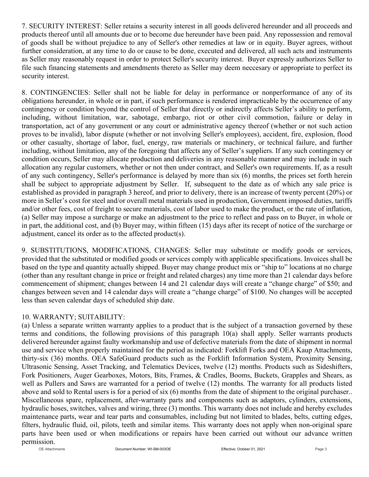7. SECURITY INTEREST: Seller retains a security interest in all goods delivered hereunder and all proceeds and products thereof until all amounts due or to become due hereunder have been paid. Any repossession and removal of goods shall be without prejudice to any of Seller's other remedies at law or in equity. Buyer agrees, without further consideration, at any time to do or cause to be done, executed and delivered, all such acts and instruments as Seller may reasonably request in order to protect Seller's security interest. Buyer expressly authorizes Seller to file such financing statements and amendments thereto as Seller may deem neccesary or appropriate to perfect its security interest.

8. CONTINGENCIES: Seller shall not be liable for delay in performance or nonperformance of any of its obligations hereunder, in whole or in part, if such performance is rendered impracticable by the occurrence of any contingency or condition beyond the control of Seller that directly or indirectly affects Seller's ability to perform, including, without limitation, war, sabotage, embargo, riot or other civil commotion, failure or delay in transportation, act of any government or any court or administrative agency thereof (whether or not such action proves to be invalid), labor dispute (whether or not involving Seller's employees), accident, fire, explosion, flood or other casualty, shortage of labor, fuel, energy, raw materials or machinery, or technical failure, and further including, without limitation, any of the foregoing that affects any of Seller's suppliers. If any such contingency or condition occurs, Seller may allocate production and deliveries in any reasonable manner and may include in such allocation any regular customers, whether or not then under contract, and Seller's own requirements. If, as a result of any such contingency, Seller's performance is delayed by more than six (6) months, the prices set forth herein shall be subject to appropriate adjustment by Seller. If, subsequent to the date as of which any sale price is established as provided in paragraph 3 hereof, and prior to delivery, there is an increase of twenty percent (20%) or more in Seller's cost for steel and/or overall metal materials used in production, Government imposed duties, tariffs and/or other fees, cost of freight to secure materials, cost of labor used to make the product, or the rate of inflation, (a) Seller may impose a surcharge or make an adjustment to the price to reflect and pass on to Buyer, in whole or in part, the additional cost, and (b) Buyer may, within fifteen (15) days after its recept of notice of the surcharge or adjustment, cancel its order as to the affected product(s).

9. SUBSTITUTIONS, MODIFICATIONS, CHANGES: Seller may substitute or modify goods or services, provided that the substituted or modified goods or services comply with applicable specifications. Invoices shall be based on the type and quantity actually shipped. Buyer may change product mix or "ship to" locations at no charge (other than any resultant change in price or freight and related charges) any time more than 21 calendar days before commencement of shipment; changes between 14 and 21 calendar days will create a "change charge" of \$50; and changes between seven and 14 calendar days will create a "change charge" of \$100. No changes will be accepted less than seven calendar days of scheduled ship date.

## 10. WARRANTY; SUITABILITY:

(a) Unless a separate written warranty applies to a product that is the subject of a transaction governed by these terms and conditions, the following provisions of this paragraph 10(a) shall apply. Seller warrants products delivered hereunder against faulty workmanship and use of defective materials from the date of shipment in normal use and service when properly maintained for the period as indicated: Forklift Forks and OEA Kaup Attachments, thirty-six (36) months. OEA SafeGuard products such as the Forklift Information System, Proximity Sensing, Ultrasonic Sensing, Asset Tracking, and Telematics Devices, twelve (12) months. Products such as Sideshifters, Fork Positioners, Auger Gearboxes, Motors, Bits, Frames, & Cradles, Booms, Buckets, Grapples and Shears, as well as Pullers and Saws are warranted for a period of twelve (12) months. The warranty for all products listed above and sold to Rental users is for a period of six (6) months from the date of shipment to the original purchaser.. Miscellaneous spare, replacement, after-warranty parts and components such as adaptors, cylinders, extensions, hydraulic hoses, switches, valves and wiring, three (3) months. This warranty does not include and hereby excludes maintenance parts, wear and tear parts and consumables, including but not limited to blades, belts, cutting edges, filters, hydraulic fluid, oil, pilots, teeth and similar items. This warranty does not apply when non-original spare parts have been used or when modifications or repairs have been carried out without our advance written permission.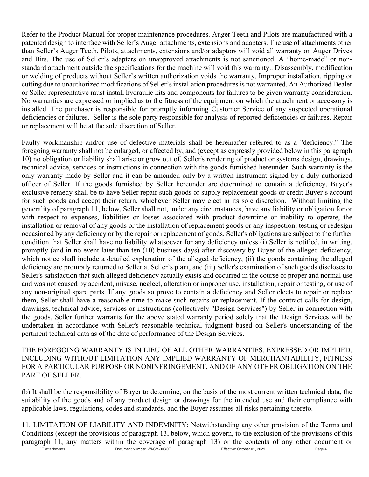Refer to the Product Manual for proper maintenance procedures. Auger Teeth and Pilots are manufactured with a patented design to interface with Seller's Auger attachments, extensions and adapters. The use of attachments other than Seller's Auger Teeth, Pilots, attachments, extensions and/or adaptors will void all warranty on Auger Drives and Bits. The use of Seller's adapters on unapproved attachments is not sanctioned. A "home-made" or nonstandard attachment outside the specifications for the machine will void this warranty.. Disassembly, modification or welding of products without Seller's written authorization voids the warranty. Improper installation, ripping or cutting due to unauthorized modifications of Seller's installation procedures is not warranted. An Authorized Dealer or Seller representative must install hydraulic kits and components for failures to be given warranty consideration. No warranties are expressed or implied as to the fitness of the equipment on which the attachment or accessory is installed. The purchaser is responsible for promptly informing Customer Service of any suspected operational deficiencies or failures. Seller is the sole party responsible for analysis of reported deficiencies or failures. Repair or replacement will be at the sole discretion of Seller.

Faulty workmanship and/or use of defective materials shall be hereinafter referred to as a "deficiency." The foregoing warranty shall not be enlarged, or affected by, and (except as expressly provided below in this paragraph 10) no obligation or liability shall arise or grow out of, Seller's rendering of product or systems design, drawings, technical advice, services or instructions in connection with the goods furnished hereunder. Such warranty is the only warranty made by Seller and it can be amended only by a written instrument signed by a duly authorized officer of Seller. If the goods furnished by Seller hereunder are determined to contain a deficiency, Buyer's exclusive remedy shall be to have Seller repair such goods or supply replacement goods or credit Buyer's account for such goods and accept their return, whichever Seller may elect in its sole discretion. Without limiting the generality of paragraph 11, below, Seller shall not, under any circumstances, have any liability or obligation for or with respect to expenses, liabilities or losses associated with product downtime or inability to operate, the installation or removal of any goods or the installation of replacement goods or any inspection, testing or redesign occasioned by any deficiency or by the repair or replacement of goods. Seller's obligations are subject to the further condition that Seller shall have no liability whatsoever for any deficiency unless (i) Seller is notified, in writing, promptly (and in no event later than ten (10) business days) after discovery by Buyer of the alleged deficiency, which notice shall include a detailed explanation of the alleged deficiency, (ii) the goods containing the alleged deficiency are promptly returned to Seller at Seller's plant, and (iii) Seller's examination of such goods discloses to Seller's satisfaction that such alleged deficiency actually exists and occurred in the course of proper and normal use and was not caused by accident, misuse, neglect, alteration or improper use, installation, repair or testing, or use of any non-original spare parts. If any goods so prove to contain a deficiency and Seller elects to repair or replace them, Seller shall have a reasonable time to make such repairs or replacement. If the contract calls for design, drawings, technical advice, services or instructions (collectively "Design Services") by Seller in connection with the goods, Seller further warrants for the above stated warranty period solely that the Design Services will be undertaken in accordance with Seller's reasonable technical judgment based on Seller's understanding of the pertinent technical data as of the date of performance of the Design Services.

THE FOREGOING WARRANTY IS IN LIEU OF ALL OTHER WARRANTIES, EXPRESSED OR IMPLIED, INCLUDING WITHOUT LIMITATION ANY IMPLIED WARRANTY OF MERCHANTABILITY, FITNESS FOR A PARTICULAR PURPOSE OR NONINFRINGEMENT, AND OF ANY OTHER OBLIGATION ON THE PART OF SELLER.

(b) It shall be the responsibility of Buyer to determine, on the basis of the most current written technical data, the suitability of the goods and of any product design or drawings for the intended use and their compliance with applicable laws, regulations, codes and standards, and the Buyer assumes all risks pertaining thereto.

 OE Attachments Document Number: WI-SM-003OE Effective: October 01, 2021 Page 4 11. LIMITATION OF LIABILITY AND INDEMNITY: Notwithstanding any other provision of the Terms and Conditions (except the provisions of paragraph 13, below, which govern, to the exclusion of the provisions of this paragraph 11, any matters within the coverage of paragraph 13) or the contents of any other document or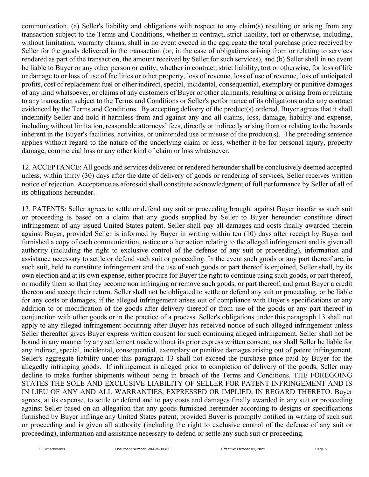communication, (a) Seller's liability and obligations with respect to any claim(s) resulting or arising from any transaction subject to the Terms and Conditions, whether in contract, strict liability, tort or otherwise, including, without limitation, warranty claims, shall in no event exceed in the aggregate the total purchase price received by Seller for the goods delivered in the transaction (or, in the case of obligations arising from or relating to services rendered as part of the transaction, the amount received by Seller for such services), and (b) Seller shall in no event be liable to Buyer or any other person or entity, whether in contract, strict liability, tort or otherwise, for loss of life or damage to or loss of use of facilities or other property, loss of revenue, loss of use of revenue, loss of anticipated profits, cost of replacement fuel or other indirect, special, incidental, consequential, exemplary or punitive damages of any kind whatsoever, or claims of any customers of Buyer or other claimants, resulting or arising from or relating to any transaction subject to the Terms and Conditions or Seller's performance of its obligations under any contract evidenced by the Terms and Conditions. By accepting delivery of the product(s) ordered, Buyer agrees that it shall indemnify Seller and hold it harmless from and against any and all claims, loss, damage, liability and expense, including without limitation, reasonable attorneys' fees, directly or indirectly arising from or relating to the hazards inherent in the Buyer's facilities, activities, or unintended use or misuse of the product(s). The preceding sentence applies without regard to the nature of the underlying claim or loss, whether it be for personal injury, property damage, commercial loss or any other kind of claim or loss whatsoever.

12. ACCEPTANCE: All goods and services delivered or rendered hereunder shall be conclusively deemed accepted unless, within thirty (30) days after the date of delivery of goods or rendering of services, Seller receives written notice of rejection. Acceptance as aforesaid shall constitute acknowledgment of full performance by Seller of all of its obligations hereunder.

13. PATENTS: Seller agrees to settle or defend any suit or proceeding brought against Buyer insofar as such suit or proceeding is based on a claim that any goods supplied by Seller to Buyer hereunder constitute direct infringement of any issued United States patent. Seller shall pay all damages and costs finally awarded therein against Buyer, provided Seller is informed by Buyer in writing within ten (10) days after receipt by Buyer and furnished a copy of each communication, notice or other action relating to the alleged infringement and is given all authority (including the right to exclusive control of the defense of any suit or proceeding), information and assistance necessary to settle or defend such suit or proceeding. In the event such goods or any part thereof are, in such suit, held to constitute infringement and the use of such goods or part thereof is enjoined, Seller shall, by its own election and at its own expense, either procure for Buyer the right to continue using such goods, or part thereof, or modify them so that they become non infringing or remove such goods, or part thereof, and grant Buyer a credit thereon and accept their return. Seller shall not be obligated to settle or defend any suit or proceeding, or be liable for any costs or damages, if the alleged infringement arises out of compliance with Buyer's specifications or any addition to or modification of the goods after delivery thereof or from use of the goods or any part thereof in conjunction with other goods or in the practice of a process. Seller's obligations under this paragraph 13 shall not apply to any alleged infringement occurring after Buyer has received notice of such alleged infringement unless Seller thereafter gives Buyer express written consent for such continuing alleged infringement. Seller shall not be bound in any manner by any settlement made without its prior express written consent, nor shall Seller be liable for any indirect, special, incidental, consequential, exemplary or punitive damages arising out of patent infringement. Seller's aggregate liability under this paragraph 13 shall not exceed the purchase price paid by Buyer for the allegedly infringing goods. If infringement is alleged prior to completion of delivery of the goods, Seller may decline to make further shipments without being in breach of the Terms and Conditions. THE FOREGOING STATES THE SOLE AND EXCLUSIVE LIABILITY OF SELLER FOR PATENT INFRINGEMENT AND IS IN LIEU OF ANY AND ALL WARRANTIES, EXPRESSED OR IMPLIED, IN REGARD THERETO. Buyer agrees, at its expense, to settle or defend and to pay costs and damages finally awarded in any suit or proceeding against Seller based on an allegation that any goods furnished hereunder according to designs or specifications furnished by Buyer infringe any United States patent, provided Buyer is promptly notified in writing of such suit or proceeding and is given all authority (including the right to exclusive control of the defense of any suit or proceeding), information and assistance necessary to defend or settle any such suit or proceeding.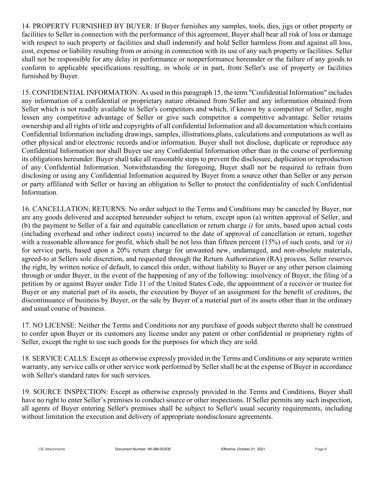14. PROPERTY FURNISHED BY BUYER: If Buyer furnishes any samples, tools, dies, jigs or other property or facilities to Seller in connection with the performance of this agreement, Buyer shall bear all risk of loss or damage with respect to such property or facilities and shall indemnify and hold Seller harmless from and against all loss, cost, expense or liability resulting from or arising in connection with its use of any such property or facilities. Seller shall not be responsible for any delay in performance or nonperformance hereunder or the failure of any goods to conform to applicable specifications resulting, in whole or in part, from Seller's use of property or facilities furnished by Buyer.

15. CONFIDENTIAL INFORMATION: As used in this paragraph 15, the term "Confidential Information" includes any information of a confidential or proprietary nature obtained from Seller and any information obtained from Seller which is not readily available to Seller's competitors and which, if known by a competitor of Seller, might lessen any competitive advantage of Seller or give such competitor a competitive advantage. Seller retains ownership and all rights of title and copyrights of all confidential Information and all documentation which contains Confidential Information including drawings, samples, illistrations,plans, calculations and computations as well as other physical and/or electronic records and/or information. Buyer shall not disclose, duplicate or reproduce any Confidential Information nor shall Buyer use any Confidential Information other than in the course of performing its obligations hereunder. Buyer shall take all reasonable steps to prevent the disclosure, duplication or reproduction of any Confidential Information. Notwithstanding the foregoing, Buyer shall not be required to refrain from disclosing or using any Confidential Information acquired by Buyer from a source other than Seller or any person or party affiliated with Seller or having an obligation to Seller to protect the confidentiality of such Confidential Information.

16. CANCELLATION; RETURNS: No order subject to the Terms and Conditions may be canceled by Buyer, nor are any goods delivered and accepted hereunder subject to return, except upon (a) written approval of Seller, and (b) the payment to Seller of a fair and equitable cancellation or return charge *i)* for units, based upon actual costs (including overhead and other indirect costs) incurred to the date of approval of cancellation or return, together with a reasonable allowance for profit, which shall be not less than fifteen percent (15%) of such costs, and /or *ii)* for service parts, based upon a 20% return charge for unwanted new, undamaged, and non-obsolete materials, agreed-to at Sellers sole discretion, and requested through the Return Authorization (RA) process. Seller reserves the right, by written notice of default, to cancel this order, without liability to Buyer or any other person claiming through or under Buyer, in the event of the happening of any of the following: insolvency of Buyer, the filing of a petition by or against Buyer under Title 11 of the United States Code, the appointment of a receiver or trustee for Buyer or any material part of its assets, the execution by Buyer of an assignment for the benefit of creditors, the discontinuance of business by Buyer, or the sale by Buyer of a material part of its assets other than in the ordinary and usual course of business.

17. NO LICENSE: Neither the Terms and Conditions nor any purchase of goods subject thereto shall be construed to confer upon Buyer or its customers any license under any patent or other confidential or proprietary rights of Seller, except the right to use such goods for the purposes for which they are sold.

18. SERVICE CALLS: Except as otherwise expressly provided in the Terms and Conditions or any separate written warranty, any service calls or other service work performed by Seller shall be at the expense of Buyer in accordance with Seller's standard rates for such services.

19. SOURCE INSPECTION: Except as otherwise expressly provided in the Terms and Conditions, Buyer shall have no right to enter Seller's premises to conduct source or other inspections. If Seller permits any such inspection, all agents of Buyer entering Seller's premises shall be subject to Seller's usual security requirements, including without limitation the execution and delivery of appropriate nondisclosure agreements.